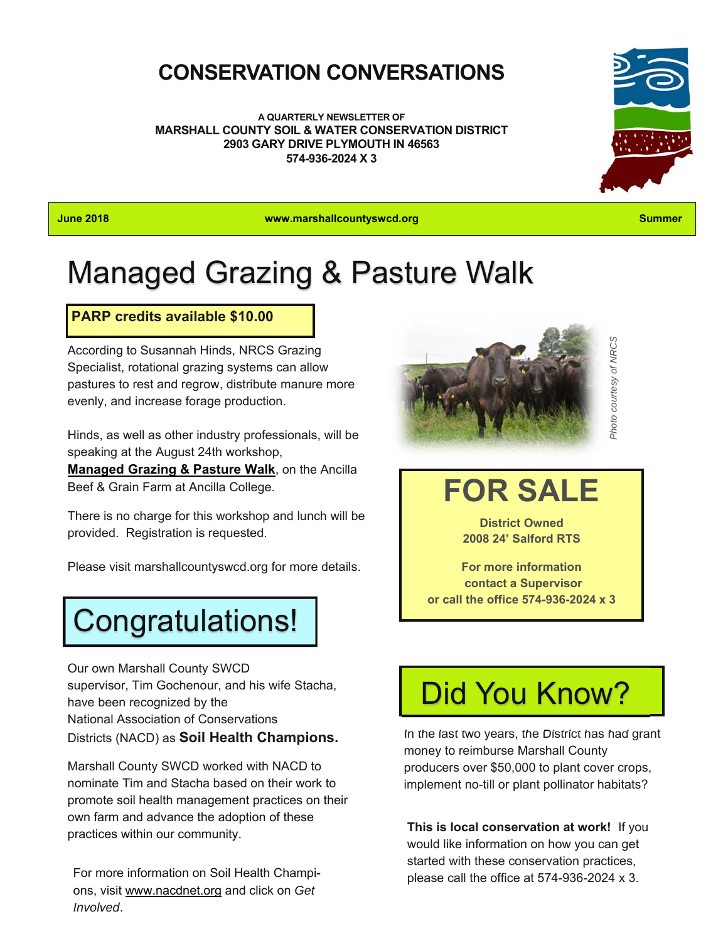## **CONSERVATION CONVERSATIONS**

**A QUARTERLY NEWSLETTER OF MARSHALL COUNTY SOIL & WATER CONSERVATION DISTRICT 2903 GARY DRIVE PLYMOUTH IN 46563 574-936-2024 X 3** 



**June 2018 www.marshallcountyswcd.org Summer** 

## Managed Grazing & Pasture Walk

### **PARP credits available \$10.00**

According to Susannah Hinds, NRCS Grazing Specialist, rotational grazing systems can allow pastures to rest and regrow, distribute manure more evenly, and increase forage production.

Hinds, as well as other industry professionals, will be speaking at the August 24th workshop,

**Managed Grazing & Pasture Walk**, on the Ancilla Beef & Grain Farm at Ancilla College.

There is no charge for this workshop and lunch will be provided. Registration is requested.

Please visit marshallcountyswcd.org for more details.

# Congratulations!

Our own Marshall County SWCD supervisor, Tim Gochenour, and his wife Stacha, have been recognized by the National Association of Conservations Districts (NACD) as **Soil Health Champions.** 

Marshall County SWCD worked with NACD to nominate Tim and Stacha based on their work to promote soil health management practices on their own farm and advance the adoption of these practices within our community.

For more information on Soil Health Champions, visit www.nacdnet.org and click on *Get Involved*.



*Photo courtesy of NRCS*  Photo courtesy of NRCS

# **FOR SALE**

**District Owned 2008 24' Salford RTS** 

**For more information contact a Supervisor or call the office 574-936-2024 x 3** 

# Did You Know?

In the last two years, the District has had grant money to reimburse Marshall County producers over \$50,000 to plant cover crops, implement no-till or plant pollinator habitats?

**This is local conservation at work!** If you would like information on how you can get started with these conservation practices, please call the office at 574-936-2024 x 3.